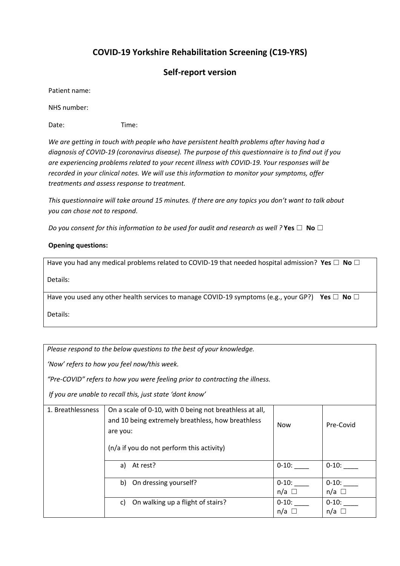## **COVID-19 Yorkshire Rehabilitation Screening (C19-YRS)**

## **Self-report version**

Patient name:

NHS number:

Date: Time:

*We are getting in touch with people who have persistent health problems after having had a diagnosis of COVID-19 (coronavirus disease). The purpose of this questionnaire is to find out if you are experiencing problems related to your recent illness with COVID-19. Your responses will be recorded in your clinical notes. We will use this information to monitor your symptoms, offer treatments and assess response to treatment.* 

*This questionnaire will take around 15 minutes. If there are any topics you don't want to talk about you can chose not to respond.*

*Do you consent for this information to be used for audit and research as well ?* Yes  $\Box$  No  $\Box$ 

## **Opening questions:**

Have you had any medical problems related to COVID-19 that needed hospital admission? Yes  $\Box$  No  $\Box$ 

Details:

Have you used any other health services to manage COVID-19 symptoms (e.g., your GP?) Yes  $\Box$  No  $\Box$ 

Details:

*Please respond to the below questions to the best of your knowledge.* 

*'Now' refers to how you feel now/this week.* 

*"Pre-COVID" refers to how you were feeling prior to contracting the illness.* 

*If you are unable to recall this, just state 'dont know'* 

| 1. Breathlessness | On a scale of 0-10, with 0 being not breathless at all,<br>and 10 being extremely breathless, how breathless<br>are you:<br>(n/a if you do not perform this activity) | <b>Now</b>      | Pre-Covid       |
|-------------------|-----------------------------------------------------------------------------------------------------------------------------------------------------------------------|-----------------|-----------------|
|                   | At rest?<br>a)                                                                                                                                                        | $0 - 10$ :      | $0 - 10$ :      |
|                   | On dressing yourself?                                                                                                                                                 | $0 - 10$ :      | $0 - 10$ :      |
|                   | b)                                                                                                                                                                    | $n/a$ $\square$ | $n/a$ $\square$ |
|                   | On walking up a flight of stairs?                                                                                                                                     | $0 - 10$ :      | $0 - 10$ :      |
|                   | C)                                                                                                                                                                    | n/a $\square$   | $n/a$ $\square$ |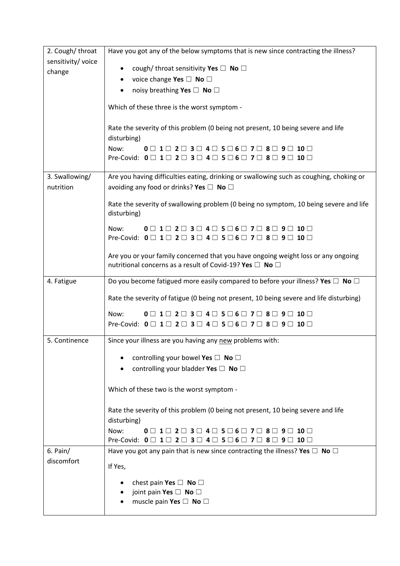| 2. Cough/throat    | Have you got any of the below symptoms that is new since contracting the illness?                                                                                                                                                                         |  |
|--------------------|-----------------------------------------------------------------------------------------------------------------------------------------------------------------------------------------------------------------------------------------------------------|--|
| sensitivity/ voice |                                                                                                                                                                                                                                                           |  |
| change             | cough/ throat sensitivity Yes $\square$ No $\square$                                                                                                                                                                                                      |  |
|                    | voice change Yes $\square$ No $\square$<br>noisy breathing Yes □ No □                                                                                                                                                                                     |  |
|                    |                                                                                                                                                                                                                                                           |  |
|                    | Which of these three is the worst symptom -                                                                                                                                                                                                               |  |
|                    | Rate the severity of this problem (0 being not present, 10 being severe and life<br>disturbing)                                                                                                                                                           |  |
|                    | Now:<br>$0$ $\Box$ $1$ $\Box$ $2$ $\Box$ $3$ $\Box$ $4$ $\Box$ $5$ $\Box$ $6$ $\Box$ $7$ $\Box$ $8$ $\Box$<br>$10 \Box$                                                                                                                                   |  |
|                    | Pre-Covid: $0 \square 1 \square 2 \square 3 \square 4 \square 5 \square 6 \square 7 \square 8 \square 9 \square 10 \square$                                                                                                                               |  |
| 3. Swallowing/     | Are you having difficulties eating, drinking or swallowing such as coughing, choking or                                                                                                                                                                   |  |
| nutrition          | avoiding any food or drinks? Yes $\Box$ No $\Box$                                                                                                                                                                                                         |  |
|                    | Rate the severity of swallowing problem (0 being no symptom, 10 being severe and life<br>disturbing)                                                                                                                                                      |  |
|                    | Now:<br>$0 \sqcap 1 \sqcap$<br>$2 \square 3 \square 4 \square 5 \square 6 \square$<br>$10 \Box$<br>7     8    <br>$9 \mid$<br>Pre-Covid: $0 \square 1 \square 2 \square 3 \square 4 \square 5 \square 6 \square 7 \square 8 \square 9 \square 10 \square$ |  |
|                    | Are you or your family concerned that you have ongoing weight loss or any ongoing<br>nutritional concerns as a result of Covid-19? Yes $\Box$ No $\Box$                                                                                                   |  |
| 4. Fatigue         | Do you become fatigued more easily compared to before your illness? Yes $\Box$ No $\Box$                                                                                                                                                                  |  |
|                    | Rate the severity of fatigue (0 being not present, 10 being severe and life disturbing)                                                                                                                                                                   |  |
|                    | Now:<br>$0$ $\vert$ 1 $\vert$<br>10 <sup>1</sup><br>$2 \mid \mid$<br>3 LI<br>4    <br>$5 \mid 6 \mid$<br>- 8 L<br>7                                                                                                                                       |  |
|                    | Pre-Covid: $0 \square 1 \square 2 \square 3 \square 4 \square 5 \square 6 \square 7 \square 8 \square 9 \square 10 \square$                                                                                                                               |  |
| 5. Continence      | Since your illness are you having any new problems with:                                                                                                                                                                                                  |  |
|                    | controlling your bowel Yes $\square$ No $\square$                                                                                                                                                                                                         |  |
|                    | controlling your bladder Yes $\Box$ No $\Box$                                                                                                                                                                                                             |  |
|                    | Which of these two is the worst symptom -                                                                                                                                                                                                                 |  |
|                    | Rate the severity of this problem (0 being not present, 10 being severe and life<br>disturbing)                                                                                                                                                           |  |
|                    | Now:<br>$0 \square$ 1 $\square$ 2 $\square$ 3 $\square$ 4 $\square$ 5 $\square$ 6 $\square$ 7 $\square$ 8 $\square$ 9 $\square$<br>$10 \Box$                                                                                                              |  |
|                    | Pre-Covid: $0 \square 1 \square 2 \square 3 \square 4 \square 5 \square 6 \square 7 \square 8 \square 9 \square 10 \square$                                                                                                                               |  |
| $6.$ Pain/         | Have you got any pain that is new since contracting the illness? Yes $\Box$ No $\Box$                                                                                                                                                                     |  |
| discomfort         | If Yes,                                                                                                                                                                                                                                                   |  |
|                    | chest pain Yes $\Box$ No $\Box$                                                                                                                                                                                                                           |  |
|                    | joint pain Yes $\square$ No $\square$                                                                                                                                                                                                                     |  |
|                    | muscle pain Yes $\square$ No $\square$                                                                                                                                                                                                                    |  |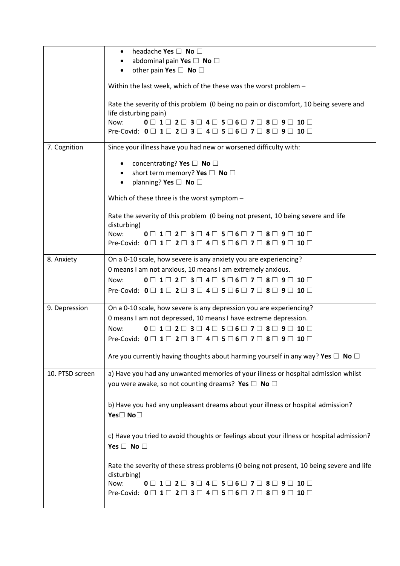|                 | headache Yes $\Box$ No $\Box$<br>$\bullet$                                                                                                                                                                                                                                  |  |
|-----------------|-----------------------------------------------------------------------------------------------------------------------------------------------------------------------------------------------------------------------------------------------------------------------------|--|
|                 | abdominal pain Yes $\square$ No $\square$<br>other pain Yes $\Box$ No $\Box$                                                                                                                                                                                                |  |
|                 |                                                                                                                                                                                                                                                                             |  |
|                 | Within the last week, which of the these was the worst problem -                                                                                                                                                                                                            |  |
|                 | Rate the severity of this problem (0 being no pain or discomfort, 10 being severe and                                                                                                                                                                                       |  |
|                 | life disturbing pain)<br>$0 \square$ 1 $\square$ 2 $\square$ 3 $\square$ 4 $\square$ 5 $\square$ 6 $\square$ 7 $\square$ 8 $\square$ 9 $\square$ 10 $\square$<br>Now:                                                                                                       |  |
|                 | Pre-Covid: $0 \square 1 \square 2 \square 3 \square 4 \square 5 \square 6 \square 7 \square 8 \square 9 \square 10 \square$                                                                                                                                                 |  |
| 7. Cognition    | Since your illness have you had new or worsened difficulty with:                                                                                                                                                                                                            |  |
|                 | concentrating? Yes $\square$ No $\square$                                                                                                                                                                                                                                   |  |
|                 | short term memory? Yes $\Box$ No $\Box$                                                                                                                                                                                                                                     |  |
|                 | planning? Yes $\square$ No $\square$                                                                                                                                                                                                                                        |  |
|                 | Which of these three is the worst symptom -                                                                                                                                                                                                                                 |  |
|                 | Rate the severity of this problem (0 being not present, 10 being severe and life<br>disturbing)                                                                                                                                                                             |  |
|                 | Now:<br>$0 \square$ 1 $\square$ 2 $\square$ 3 $\square$ 4 $\square$ 5 $\square$ 6 $\square$ 7 $\square$ 8 $\square$ 9 $\square$ 10 $\square$                                                                                                                                |  |
|                 | Pre-Covid: $0 \square 1 \square 2 \square 3 \square 4 \square 5 \square 6 \square 7 \square 8 \square 9 \square 10 \square$                                                                                                                                                 |  |
| 8. Anxiety      | On a 0-10 scale, how severe is any anxiety you are experiencing?                                                                                                                                                                                                            |  |
|                 | 0 means I am not anxious, 10 means I am extremely anxious.                                                                                                                                                                                                                  |  |
|                 | Now:<br>$0 \square$ 1 $\square$ 2 $\square$ 3 $\square$ 4 $\square$ 5 $\square$ 6 $\square$ 7 $\square$ 8 $\square$ 9 $\square$ 10 $\square$<br>Pre-Covid: $0 \square 1 \square 2 \square 3 \square 4 \square 5 \square 6 \square 7 \square 8 \square 9 \square 10 \square$ |  |
|                 |                                                                                                                                                                                                                                                                             |  |
| 9. Depression   | On a 0-10 scale, how severe is any depression you are experiencing?                                                                                                                                                                                                         |  |
|                 | 0 means I am not depressed, 10 means I have extreme depression.                                                                                                                                                                                                             |  |
|                 | Now:<br>$0 \square$ 1 $\square$ 2 $\square$ 3 $\square$ 4 $\square$ 5 $\square$ 6 $\square$ 7 $\square$ 8 $\square$ 9 $\square$ 10 $\square$                                                                                                                                |  |
|                 | Pre-Covid: $0 \square 1 \square 2 \square 3 \square 4 \square 5 \square 6 \square 7 \square 8 \square 9 \square 10 \square$                                                                                                                                                 |  |
|                 | Are you currently having thoughts about harming yourself in any way? Yes $\Box$ No $\Box$                                                                                                                                                                                   |  |
| 10. PTSD screen | a) Have you had any unwanted memories of your illness or hospital admission whilst                                                                                                                                                                                          |  |
|                 | you were awake, so not counting dreams? Yes $\square$ No $\square$                                                                                                                                                                                                          |  |
|                 | b) Have you had any unpleasant dreams about your illness or hospital admission?                                                                                                                                                                                             |  |
|                 | Yes□ No□                                                                                                                                                                                                                                                                    |  |
|                 |                                                                                                                                                                                                                                                                             |  |
|                 | c) Have you tried to avoid thoughts or feelings about your illness or hospital admission?<br>Yes $\Box$ No $\Box$                                                                                                                                                           |  |
|                 | Rate the severity of these stress problems (0 being not present, 10 being severe and life                                                                                                                                                                                   |  |
|                 | disturbing)                                                                                                                                                                                                                                                                 |  |
|                 | Now:<br>$0 \square 1 \square 2 \square 3 \square 4 \square 5 \square 6 \square 7 \square 8 \square$<br>$10 \Box$<br>9                                                                                                                                                       |  |
|                 | Pre-Covid: $0 \square 1 \square 2 \square 3 \square 4 \square 5 \square 6 \square 7 \square 8 \square 9 \square 10 \square$                                                                                                                                                 |  |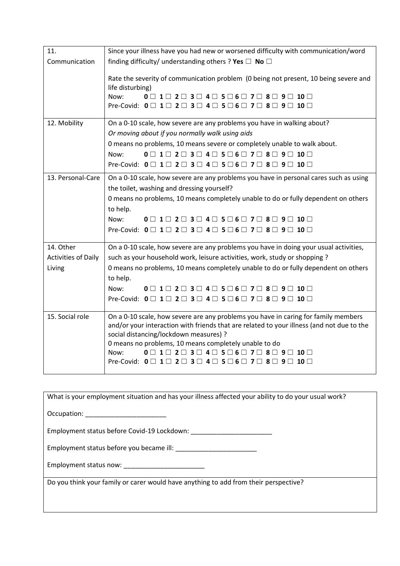| 11.                        | Since your illness have you had new or worsened difficulty with communication/word                                                           |  |
|----------------------------|----------------------------------------------------------------------------------------------------------------------------------------------|--|
| Communication              | finding difficulty/ understanding others ? Yes $\Box$ No $\Box$                                                                              |  |
|                            | Rate the severity of communication problem (0 being not present, 10 being severe and<br>life disturbing)                                     |  |
|                            | $0 \square$ 1 $\square$ 2 $\square$ 3 $\square$ 4 $\square$ 5 $\square$ 6 $\square$ 7 $\square$ 8 $\square$ 9 $\square$ 10 $\square$<br>Now: |  |
|                            | Pre-Covid: $0 \square 1 \square 2 \square 3 \square 4 \square 5 \square 6 \square 7 \square 8 \square 9 \square 10 \square$                  |  |
| 12. Mobility               | On a 0-10 scale, how severe are any problems you have in walking about?                                                                      |  |
|                            | Or moving about if you normally walk using aids                                                                                              |  |
|                            | 0 means no problems, 10 means severe or completely unable to walk about.                                                                     |  |
|                            | $0 \square$ 1 $\square$ 2 $\square$ 3 $\square$ 4 $\square$ 5 $\square$ 6 $\square$ 7 $\square$ 8 $\square$ 9 $\square$ 10 $\square$<br>Now: |  |
|                            | Pre-Covid: $0 \square 1 \square 2 \square 3 \square 4 \square 5 \square 6 \square 7 \square 8 \square 9 \square 10 \square$                  |  |
| 13. Personal-Care          | On a 0-10 scale, how severe are any problems you have in personal cares such as using                                                        |  |
|                            | the toilet, washing and dressing yourself?                                                                                                   |  |
|                            | 0 means no problems, 10 means completely unable to do or fully dependent on others                                                           |  |
|                            | to help.                                                                                                                                     |  |
|                            | Now:<br>$0 \square$ 1 $\square$ 2 $\square$ 3 $\square$ 4 $\square$ 5 $\square$ 6 $\square$ 7 $\square$ 8 $\square$ 9 $\square$ 10 $\square$ |  |
|                            | Pre-Covid: $0 \square 1 \square 2 \square 3 \square 4 \square 5 \square 6 \square 7 \square 8 \square 9 \square 10 \square$                  |  |
| 14. Other                  | On a 0-10 scale, how severe are any problems you have in doing your usual activities,                                                        |  |
| <b>Activities of Daily</b> | such as your household work, leisure activities, work, study or shopping ?                                                                   |  |
| Living                     | 0 means no problems, 10 means completely unable to do or fully dependent on others                                                           |  |
|                            | to help.                                                                                                                                     |  |
|                            | Now:<br>$0 \square$ 1 $\square$ 2 $\square$ 3 $\square$ 4 $\square$ 5 $\square$ 6 $\square$ 7 $\square$ 8 $\square$ 9 $\square$ 10 $\square$ |  |
|                            | Pre-Covid: $0 \square 1 \square 2 \square 3 \square 4 \square 5 \square 6 \square 7 \square 8 \square 9 \square 10 \square$                  |  |
| 15. Social role            | On a 0-10 scale, how severe are any problems you have in caring for family members                                                           |  |
|                            | and/or your interaction with friends that are related to your illness (and not due to the<br>social distancing/lockdown measures) ?          |  |
|                            | 0 means no problems, 10 means completely unable to do                                                                                        |  |
|                            | $0 \square$ 1 $\square$ 2 $\square$ 3 $\square$ 4 $\square$ 5 $\square$ 6 $\square$ 7 $\square$ 8 $\square$ 9 $\square$ 10 $\square$<br>Now: |  |
|                            | Pre-Covid: $0 \square 1 \square 2 \square 3 \square 4 \square 5 \square 6 \square 7 \square 8 \square 9 \square 10 \square$                  |  |
|                            |                                                                                                                                              |  |

| What is your employment situation and has your illness affected your ability to do your usual work? |
|-----------------------------------------------------------------------------------------------------|
| Occupation: _________________________                                                               |
|                                                                                                     |
| Employment status before you became ill:                                                            |
|                                                                                                     |
| Do you think your family or carer would have anything to add from their perspective?                |